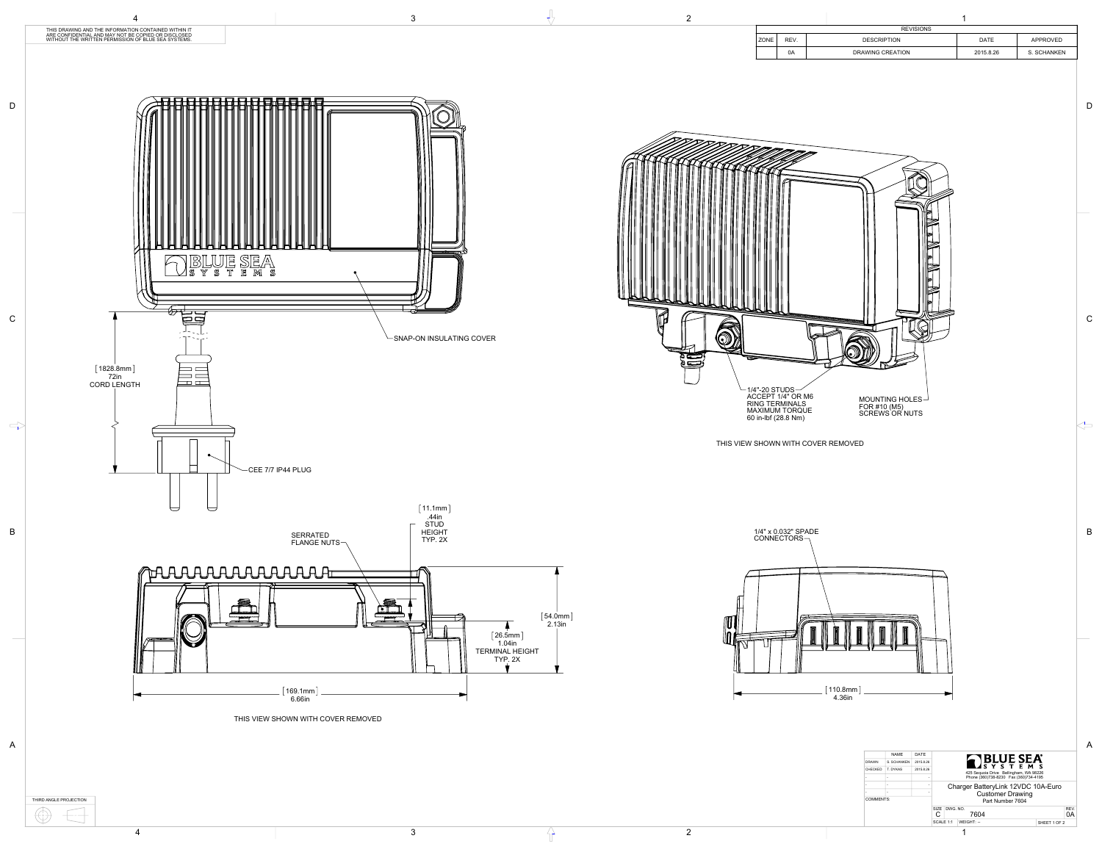



THIS VIEW SHOWN WITH COVER REMOVED

|             |      | <b>REVISIONS</b>   |             |             |
|-------------|------|--------------------|-------------|-------------|
| <b>ZONE</b> | REV. | <b>DESCRIPTION</b> | <b>DATE</b> | APPROVED    |
|             | 0A   | DRAWING CREATION   | 2015 8.26   | S. SCHANKEN |

A

B

C

 $\left\langle \right\rangle$ 

D

|        | i<br>٦<br>I | I |  |
|--------|-------------|---|--|
| I<br>i | I           |   |  |
|        |             |   |  |



|                                                                                  |                              |               | DATE      | <b>NAME</b> |           |
|----------------------------------------------------------------------------------|------------------------------|---------------|-----------|-------------|-----------|
| BLUE SEA                                                                         |                              |               | 2015.8.26 | S. SCHANKEN | DRAWN     |
|                                                                                  |                              |               | 2015.8.26 | T. DYKAS    | CHECKED   |
| 425 Sequoia Drive Bellingham, WA 98226<br>Phone (360)738-8230  Fax (360)734-4195 |                              |               |           |             |           |
|                                                                                  |                              |               |           |             |           |
| Charger BatteryLink 12VDC 10A-Euro<br>Customer Drawing                           |                              |               |           |             |           |
|                                                                                  |                              |               |           |             | COMMENTS: |
| Part Number 7604                                                                 |                              |               |           |             |           |
| REV.                                                                             |                              | SIZE DWG. NO. |           |             |           |
| 0A<br>7604                                                                       |                              | ◡             |           |             |           |
| SHEET 1 OF 2                                                                     | $ $ SCALE 1:1 $ $ WEIGHT: -- |               |           |             |           |
|                                                                                  |                              |               |           |             |           |
|                                                                                  |                              |               |           |             |           |
|                                                                                  |                              |               |           |             |           |